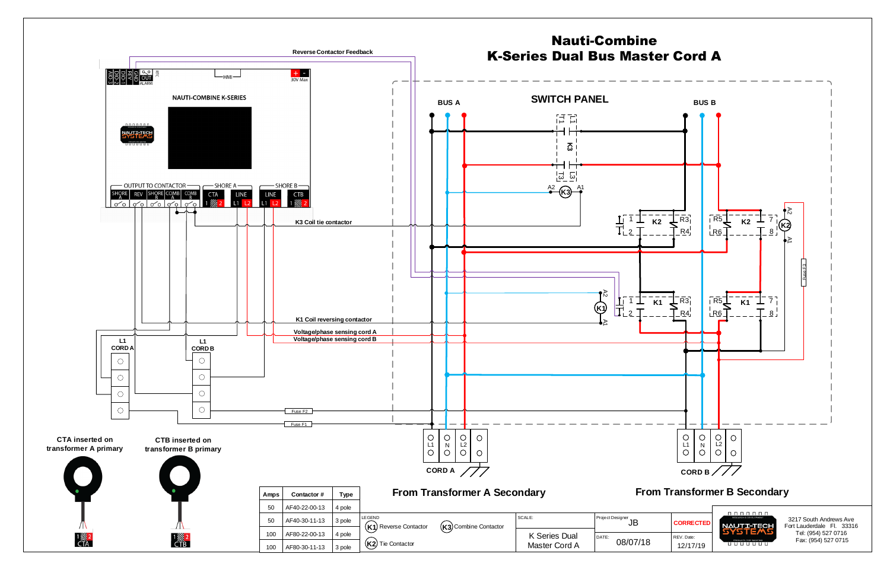